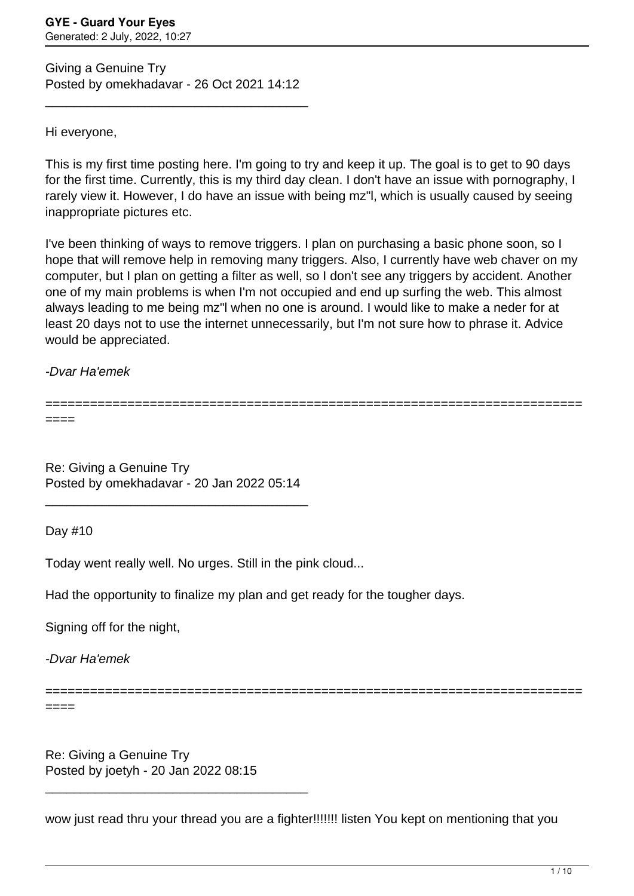Giving a Genuine Try Posted by omekhadavar - 26 Oct 2021 14:12

\_\_\_\_\_\_\_\_\_\_\_\_\_\_\_\_\_\_\_\_\_\_\_\_\_\_\_\_\_\_\_\_\_\_\_\_\_

Hi everyone,

This is my first time posting here. I'm going to try and keep it up. The goal is to get to 90 days for the first time. Currently, this is my third day clean. I don't have an issue with pornography, I rarely view it. However, I do have an issue with being mz"l, which is usually caused by seeing inappropriate pictures etc.

I've been thinking of ways to remove triggers. I plan on purchasing a basic phone soon, so I hope that will remove help in removing many triggers. Also, I currently have web chaver on my computer, but I plan on getting a filter as well, so I don't see any triggers by accident. Another one of my main problems is when I'm not occupied and end up surfing the web. This almost always leading to me being mz"l when no one is around. I would like to make a neder for at least 20 days not to use the internet unnecessarily, but I'm not sure how to phrase it. Advice would be appreciated.

-Dvar Ha'emek

======================================================================== ====

Re: Giving a Genuine Try Posted by omekhadavar - 20 Jan 2022 05:14

\_\_\_\_\_\_\_\_\_\_\_\_\_\_\_\_\_\_\_\_\_\_\_\_\_\_\_\_\_\_\_\_\_\_\_\_\_

Day #10

Today went really well. No urges. Still in the pink cloud...

Had the opportunity to finalize my plan and get ready for the tougher days.

Signing off for the night,

-Dvar Ha'emek

====

Re: Giving a Genuine Try Posted by joetyh - 20 Jan 2022 08:15

\_\_\_\_\_\_\_\_\_\_\_\_\_\_\_\_\_\_\_\_\_\_\_\_\_\_\_\_\_\_\_\_\_\_\_\_\_

wow just read thru your thread you are a fighter!!!!!!! listen You kept on mentioning that you

========================================================================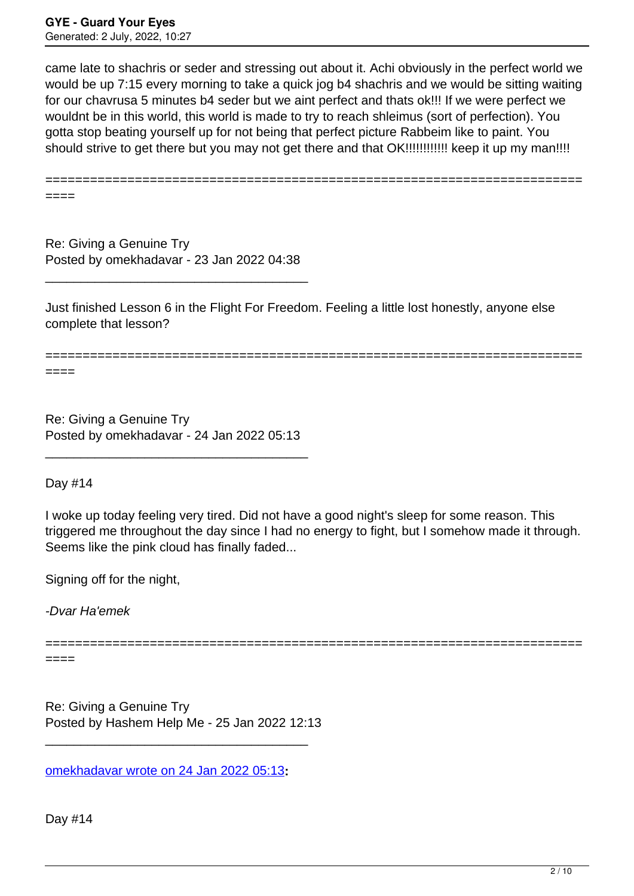came late to shachris or seder and stressing out about it. Achi obviously in the perfect world we would be up 7:15 every morning to take a quick jog b4 shachris and we would be sitting waiting for our chavrusa 5 minutes b4 seder but we aint perfect and thats ok!!! If we were perfect we wouldnt be in this world, this world is made to try to reach shleimus (sort of perfection). You gotta stop beating yourself up for not being that perfect picture Rabbeim like to paint. You should strive to get there but you may not get there and that OK!!!!!!!!!!!!! keep it up my man!!!!

======================================================================== ====

Re: Giving a Genuine Try Posted by omekhadavar - 23 Jan 2022 04:38

\_\_\_\_\_\_\_\_\_\_\_\_\_\_\_\_\_\_\_\_\_\_\_\_\_\_\_\_\_\_\_\_\_\_\_\_\_

Just finished Lesson 6 in the Flight For Freedom. Feeling a little lost honestly, anyone else complete that lesson?

========================================================================

====

Re: Giving a Genuine Try Posted by omekhadavar - 24 Jan 2022 05:13

\_\_\_\_\_\_\_\_\_\_\_\_\_\_\_\_\_\_\_\_\_\_\_\_\_\_\_\_\_\_\_\_\_\_\_\_\_

Day #14

I woke up today feeling very tired. Did not have a good night's sleep for some reason. This triggered me throughout the day since I had no energy to fight, but I somehow made it through. Seems like the pink cloud has finally faded...

========================================================================

Signing off for the night,

-Dvar Ha'emek

====

Re: Giving a Genuine Try Posted by Hashem Help Me - 25 Jan 2022 12:13

\_\_\_\_\_\_\_\_\_\_\_\_\_\_\_\_\_\_\_\_\_\_\_\_\_\_\_\_\_\_\_\_\_\_\_\_\_

[omekhadavar wrote on 24 Jan 2022 05:13](/forum/4-On-the-Way-to-90-Days/376387-Re-Giving-a-Genuine-Try)**:**

Day #14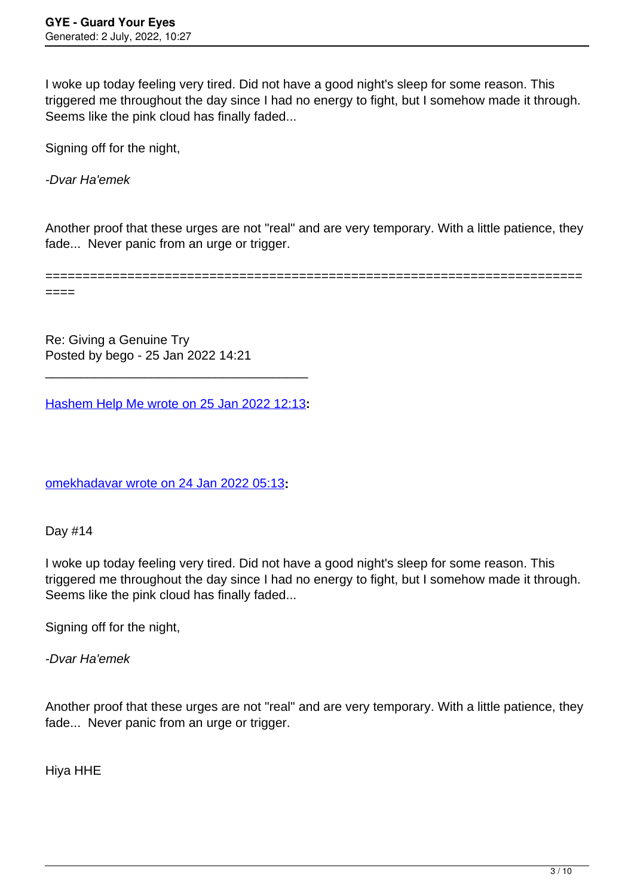I woke up today feeling very tired. Did not have a good night's sleep for some reason. This triggered me throughout the day since I had no energy to fight, but I somehow made it through. Seems like the pink cloud has finally faded...

Signing off for the night.

-Dvar Ha'emek

Another proof that these urges are not "real" and are very temporary. With a little patience, they fade... Never panic from an urge or trigger.

======================================================================== ====

Re: Giving a Genuine Try Posted by bego - 25 Jan 2022 14:21

[Hashem Help Me wrote on 25 Jan 2022 12:13](/forum/4-On-the-Way-to-90-Days/376445-Re-Giving-a-Genuine-Try)**:**

\_\_\_\_\_\_\_\_\_\_\_\_\_\_\_\_\_\_\_\_\_\_\_\_\_\_\_\_\_\_\_\_\_\_\_\_\_

[omekhadavar wrote on 24 Jan 2022 05:13](/forum/4-On-the-Way-to-90-Days/376387-Re-Giving-a-Genuine-Try)**:**

Day #14

I woke up today feeling very tired. Did not have a good night's sleep for some reason. This triggered me throughout the day since I had no energy to fight, but I somehow made it through. Seems like the pink cloud has finally faded...

Signing off for the night,

-Dvar Ha'emek

Another proof that these urges are not "real" and are very temporary. With a little patience, they fade... Never panic from an urge or trigger.

Hiya HHE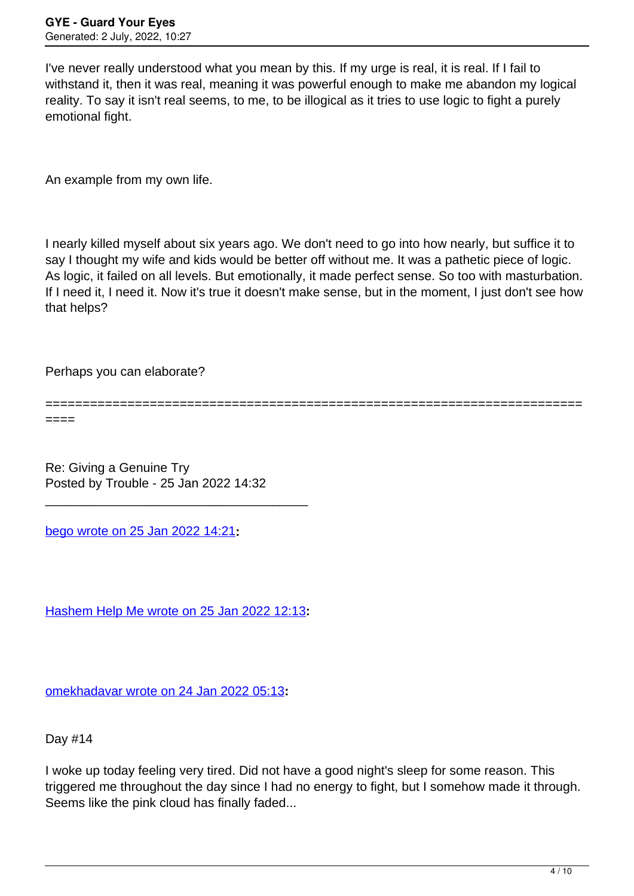I've never really understood what you mean by this. If my urge is real, it is real. If I fail to withstand it, then it was real, meaning it was powerful enough to make me abandon my logical reality. To say it isn't real seems, to me, to be illogical as it tries to use logic to fight a purely emotional fight.

An example from my own life.

I nearly killed myself about six years ago. We don't need to go into how nearly, but suffice it to say I thought my wife and kids would be better off without me. It was a pathetic piece of logic. As logic, it failed on all levels. But emotionally, it made perfect sense. So too with masturbation. If I need it, I need it. Now it's true it doesn't make sense, but in the moment, I just don't see how that helps?

Perhaps you can elaborate?

========================================================================

====

Re: Giving a Genuine Try Posted by Trouble - 25 Jan 2022 14:32

\_\_\_\_\_\_\_\_\_\_\_\_\_\_\_\_\_\_\_\_\_\_\_\_\_\_\_\_\_\_\_\_\_\_\_\_\_

[bego wrote on 25 Jan 2022 14:21](/forum/4-On-the-Way-to-90-Days/376451-Re-Giving-a-Genuine-Try)**:**

[Hashem Help Me wrote on 25 Jan 2022 12:13](/forum/4-On-the-Way-to-90-Days/376445-Re-Giving-a-Genuine-Try)**:**

[omekhadavar wrote on 24 Jan 2022 05:13](/forum/4-On-the-Way-to-90-Days/376387-Re-Giving-a-Genuine-Try)**:**

Day #14

I woke up today feeling very tired. Did not have a good night's sleep for some reason. This triggered me throughout the day since I had no energy to fight, but I somehow made it through. Seems like the pink cloud has finally faded...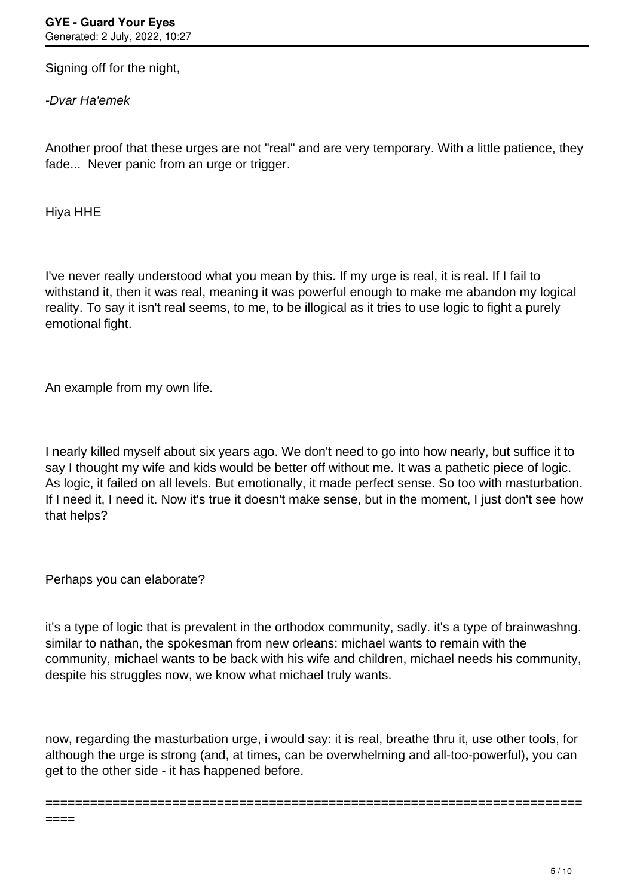Signing off for the night.

-Dvar Ha'emek

Another proof that these urges are not "real" and are very temporary. With a little patience, they fade... Never panic from an urge or trigger.

Hiya HHE

I've never really understood what you mean by this. If my urge is real, it is real. If I fail to withstand it, then it was real, meaning it was powerful enough to make me abandon my logical reality. To say it isn't real seems, to me, to be illogical as it tries to use logic to fight a purely emotional fight.

An example from my own life.

I nearly killed myself about six years ago. We don't need to go into how nearly, but suffice it to say I thought my wife and kids would be better off without me. It was a pathetic piece of logic. As logic, it failed on all levels. But emotionally, it made perfect sense. So too with masturbation. If I need it, I need it. Now it's true it doesn't make sense, but in the moment, I just don't see how that helps?

Perhaps you can elaborate?

it's a type of logic that is prevalent in the orthodox community, sadly. it's a type of brainwashng. similar to nathan, the spokesman from new orleans: michael wants to remain with the community, michael wants to be back with his wife and children, michael needs his community, despite his struggles now, we know what michael truly wants.

now, regarding the masturbation urge, i would say: it is real, breathe thru it, use other tools, for although the urge is strong (and, at times, can be overwhelming and all-too-powerful), you can get to the other side - it has happened before.

========================================================================

====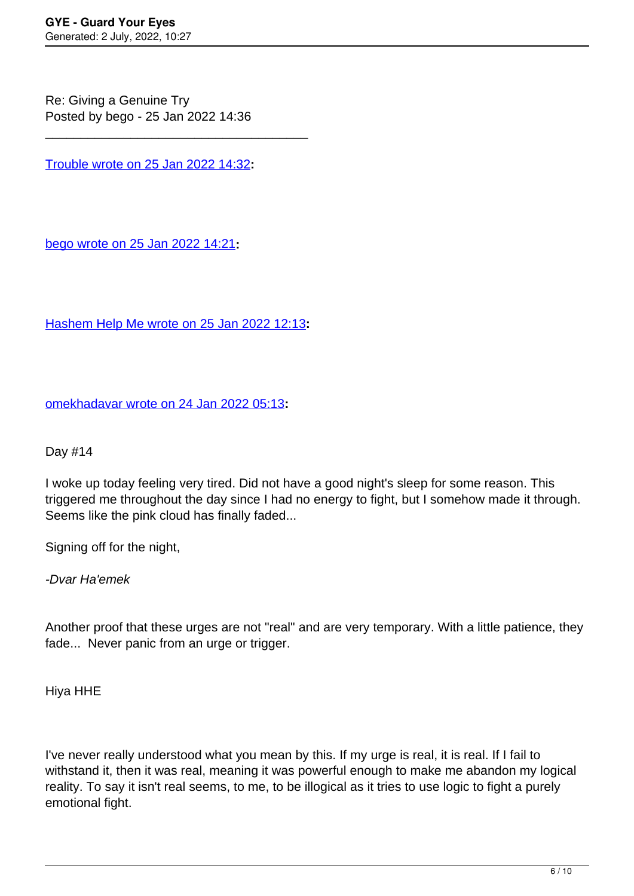Re: Giving a Genuine Try Posted by bego - 25 Jan 2022 14:36

[Trouble wrote on 25 Jan 2022 14:32](/forum/4-On-the-Way-to-90-Days/376453-Re-Giving-a-Genuine-Try)**:**

\_\_\_\_\_\_\_\_\_\_\_\_\_\_\_\_\_\_\_\_\_\_\_\_\_\_\_\_\_\_\_\_\_\_\_\_\_

[bego wrote on 25 Jan 2022 14:21](/forum/4-On-the-Way-to-90-Days/376451-Re-Giving-a-Genuine-Try)**:**

[Hashem Help Me wrote on 25 Jan 2022 12:13](/forum/4-On-the-Way-to-90-Days/376445-Re-Giving-a-Genuine-Try)**:**

[omekhadavar wrote on 24 Jan 2022 05:13](/forum/4-On-the-Way-to-90-Days/376387-Re-Giving-a-Genuine-Try)**:**

Day #14

I woke up today feeling very tired. Did not have a good night's sleep for some reason. This triggered me throughout the day since I had no energy to fight, but I somehow made it through. Seems like the pink cloud has finally faded...

Signing off for the night,

-Dvar Ha'emek

Another proof that these urges are not "real" and are very temporary. With a little patience, they fade... Never panic from an urge or trigger.

Hiya HHE

I've never really understood what you mean by this. If my urge is real, it is real. If I fail to withstand it, then it was real, meaning it was powerful enough to make me abandon my logical reality. To say it isn't real seems, to me, to be illogical as it tries to use logic to fight a purely emotional fight.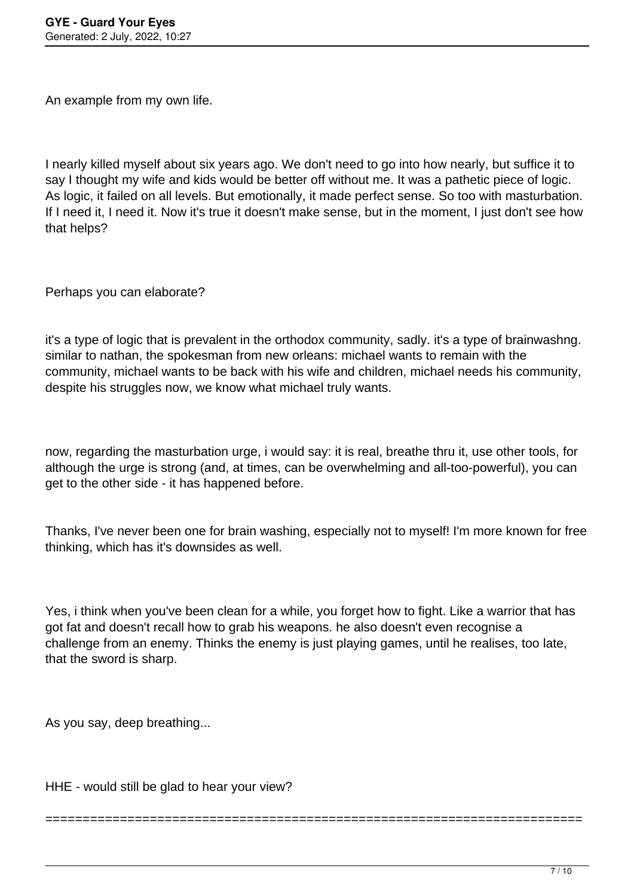An example from my own life.

I nearly killed myself about six years ago. We don't need to go into how nearly, but suffice it to say I thought my wife and kids would be better off without me. It was a pathetic piece of logic. As logic, it failed on all levels. But emotionally, it made perfect sense. So too with masturbation. If I need it, I need it. Now it's true it doesn't make sense, but in the moment, I just don't see how that helps?

Perhaps you can elaborate?

it's a type of logic that is prevalent in the orthodox community, sadly. it's a type of brainwashng. similar to nathan, the spokesman from new orleans: michael wants to remain with the community, michael wants to be back with his wife and children, michael needs his community, despite his struggles now, we know what michael truly wants.

now, regarding the masturbation urge, i would say: it is real, breathe thru it, use other tools, for although the urge is strong (and, at times, can be overwhelming and all-too-powerful), you can get to the other side - it has happened before.

Thanks, I've never been one for brain washing, especially not to myself! I'm more known for free thinking, which has it's downsides as well.

Yes, i think when you've been clean for a while, you forget how to fight. Like a warrior that has got fat and doesn't recall how to grab his weapons. he also doesn't even recognise a challenge from an enemy. Thinks the enemy is just playing games, until he realises, too late, that the sword is sharp.

========================================================================

As you say, deep breathing...

HHE - would still be glad to hear your view?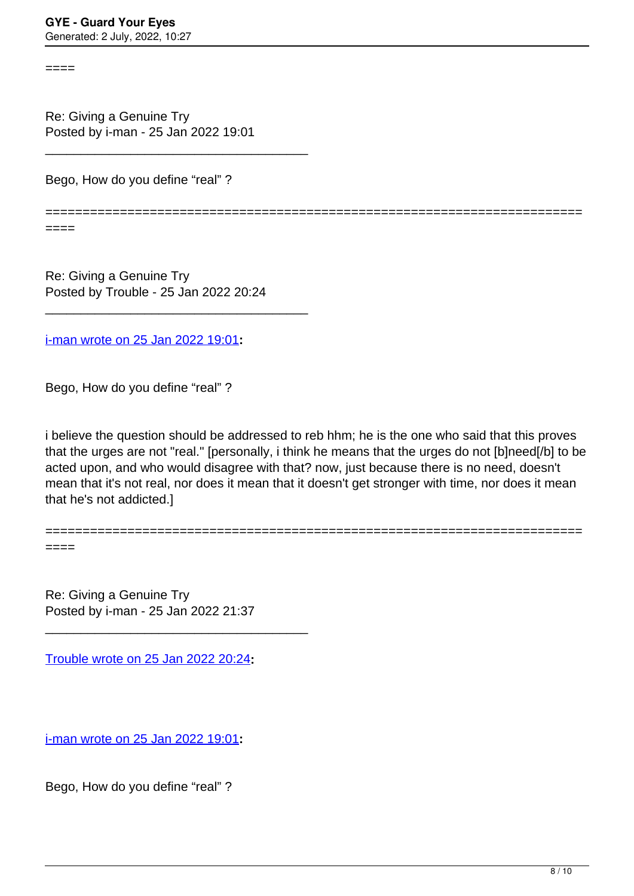====

Re: Giving a Genuine Try Posted by i-man - 25 Jan 2022 19:01

\_\_\_\_\_\_\_\_\_\_\_\_\_\_\_\_\_\_\_\_\_\_\_\_\_\_\_\_\_\_\_\_\_\_\_\_\_

Bego, How do you define "real" ?

========================================================================

====

====

Re: Giving a Genuine Try Posted by Trouble - 25 Jan 2022 20:24

\_\_\_\_\_\_\_\_\_\_\_\_\_\_\_\_\_\_\_\_\_\_\_\_\_\_\_\_\_\_\_\_\_\_\_\_\_

[i-man wrote on 25 Jan 2022 19:01](/forum/4-On-the-Way-to-90-Days/376468-Re-Giving-a-Genuine-Try)**:**

Bego, How do you define "real" ?

i believe the question should be addressed to reb hhm; he is the one who said that this proves that the urges are not "real." [personally, i think he means that the urges do not [b]need[/b] to be acted upon, and who would disagree with that? now, just because there is no need, doesn't mean that it's not real, nor does it mean that it doesn't get stronger with time, nor does it mean that he's not addicted.]

========================================================================

Re: Giving a Genuine Try Posted by i-man - 25 Jan 2022 21:37

\_\_\_\_\_\_\_\_\_\_\_\_\_\_\_\_\_\_\_\_\_\_\_\_\_\_\_\_\_\_\_\_\_\_\_\_\_

[Trouble wrote on 25 Jan 2022 20:24](/forum/4-On-the-Way-to-90-Days/376471-Re-Giving-a-Genuine-Try)**:**

[i-man wrote on 25 Jan 2022 19:01](/forum/4-On-the-Way-to-90-Days/376468-Re-Giving-a-Genuine-Try)**:**

Bego, How do you define "real" ?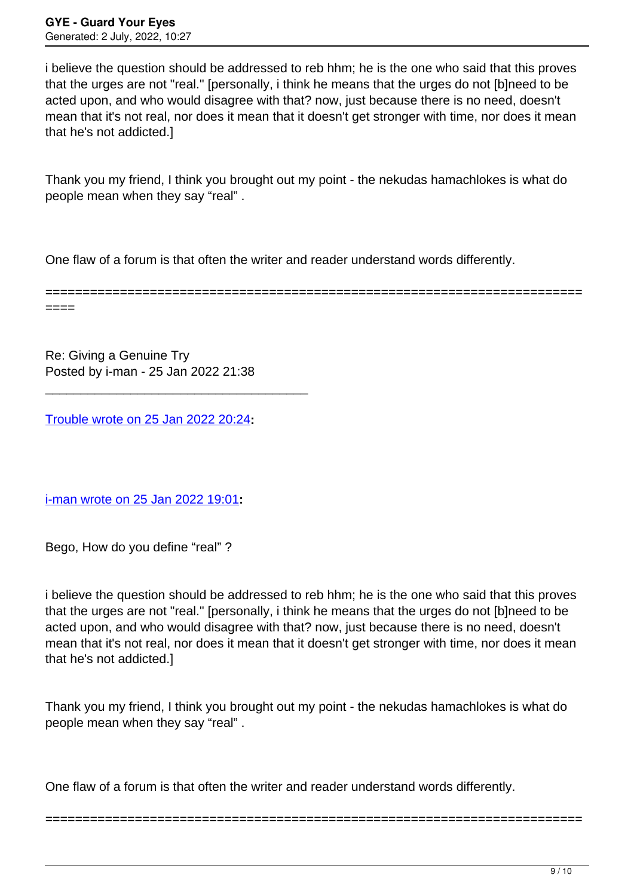i believe the question should be addressed to reb hhm; he is the one who said that this proves that the urges are not "real." [personally, i think he means that the urges do not [b]need to be acted upon, and who would disagree with that? now, just because there is no need, doesn't mean that it's not real, nor does it mean that it doesn't get stronger with time, nor does it mean that he's not addicted.]

Thank you my friend, I think you brought out my point - the nekudas hamachlokes is what do people mean when they say "real" .

One flaw of a forum is that often the writer and reader understand words differently.

======================================================================== ====

Re: Giving a Genuine Try Posted by i-man - 25 Jan 2022 21:38

\_\_\_\_\_\_\_\_\_\_\_\_\_\_\_\_\_\_\_\_\_\_\_\_\_\_\_\_\_\_\_\_\_\_\_\_\_

[Trouble wrote on 25 Jan 2022 20:24](/forum/4-On-the-Way-to-90-Days/376471-Re-Giving-a-Genuine-Try)**:**

[i-man wrote on 25 Jan 2022 19:01](/forum/4-On-the-Way-to-90-Days/376468-Re-Giving-a-Genuine-Try)**:**

Bego, How do you define "real" ?

i believe the question should be addressed to reb hhm; he is the one who said that this proves that the urges are not "real." [personally, i think he means that the urges do not [b]need to be acted upon, and who would disagree with that? now, just because there is no need, doesn't mean that it's not real, nor does it mean that it doesn't get stronger with time, nor does it mean that he's not addicted.]

Thank you my friend, I think you brought out my point - the nekudas hamachlokes is what do people mean when they say "real" .

========================================================================

One flaw of a forum is that often the writer and reader understand words differently.